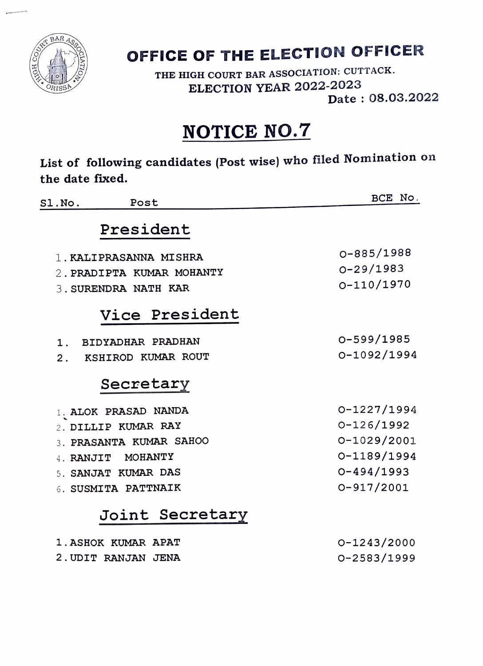

### OFFICE OF THE ELECTION OFFICER

THE HIGH COURT BAR ASSOCIATION: CUTTACK. ELECTION YEAR 2022-2023

Date: 08.03.2022

### NOTICE NO.7

List of following candidates (Post wise) who filed Nomination on the date fixed.

| Post<br>SL.No.                                                              | BCE No.                                     |
|-----------------------------------------------------------------------------|---------------------------------------------|
| President                                                                   |                                             |
| 1. KALIPRASANNA MISHRA<br>2. PRADIPTA KUMAR MOHANTY<br>3. SURENDRA NATH KAR | 0-885/1988<br>$0 - 29/1983$<br>$O-110/1970$ |
| Vice President                                                              |                                             |
| 1. BIDYADHAR PRADHAN<br>2. KSHIROD KUMAR ROUT                               | $0 - 599/1985$<br>$0 - 1092/1994$           |
| Secretary                                                                   |                                             |
| 1. ALOK PRASAD NANDA                                                        | $0 - 1227/1994$                             |
| 2. DILLIP KUMAR RAY                                                         | $0 - 126/1992$                              |
| 3. PRASANTA KUMAR SAHOO                                                     | $0 - 1029/2001$                             |
| 4. RANJIT MOHANTY                                                           | 0-1189/1994                                 |
| 5. SANJAT KUMAR DAS                                                         | $0 - 494/1993$                              |
| 6. SUSMITA PATTNAIK                                                         | $0 - 917/2001$                              |
| Joint Secretary                                                             |                                             |
| 1. ASHOK KUMAR APAT                                                         | $0 - 1243/2000$                             |
| 2. UDIT RANJAN JENA                                                         | 0-2583/1999                                 |